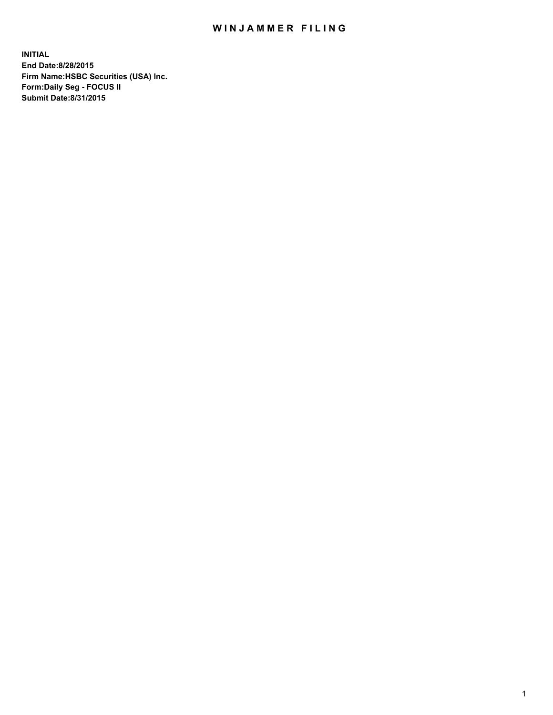## WIN JAMMER FILING

**INITIAL End Date:8/28/2015 Firm Name:HSBC Securities (USA) Inc. Form:Daily Seg - FOCUS II Submit Date:8/31/2015**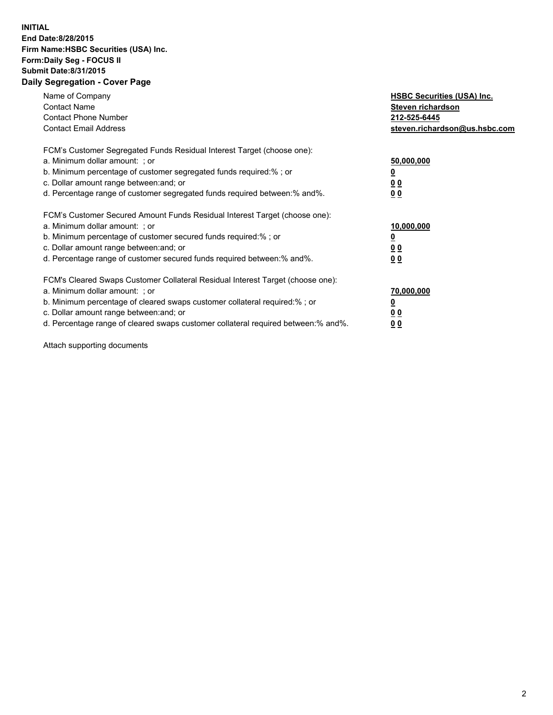## **INITIAL End Date:8/28/2015 Firm Name:HSBC Securities (USA) Inc. Form:Daily Seg - FOCUS II Submit Date:8/31/2015 Daily Segregation - Cover Page**

| Name of Company<br><b>Contact Name</b><br><b>Contact Phone Number</b><br><b>Contact Email Address</b>                                                                                                                                                                                                                          | <b>HSBC Securities (USA) Inc.</b><br>Steven richardson<br>212-525-6445<br>steven.richardson@us.hsbc.com |
|--------------------------------------------------------------------------------------------------------------------------------------------------------------------------------------------------------------------------------------------------------------------------------------------------------------------------------|---------------------------------------------------------------------------------------------------------|
| FCM's Customer Segregated Funds Residual Interest Target (choose one):<br>a. Minimum dollar amount: ; or<br>b. Minimum percentage of customer segregated funds required:%; or<br>c. Dollar amount range between: and; or<br>d. Percentage range of customer segregated funds required between: % and %.                        | 50,000,000<br>0 <sub>0</sub><br>0 <sub>0</sub>                                                          |
| FCM's Customer Secured Amount Funds Residual Interest Target (choose one):<br>a. Minimum dollar amount: ; or<br>b. Minimum percentage of customer secured funds required:%; or<br>c. Dollar amount range between: and; or<br>d. Percentage range of customer secured funds required between:% and%.                            | 10,000,000<br><u>0</u><br>0 <sub>0</sub><br>0 <sub>0</sub>                                              |
| FCM's Cleared Swaps Customer Collateral Residual Interest Target (choose one):<br>a. Minimum dollar amount: ; or<br>b. Minimum percentage of cleared swaps customer collateral required:% ; or<br>c. Dollar amount range between: and; or<br>d. Percentage range of cleared swaps customer collateral required between:% and%. | 70,000,000<br>00<br><u>00</u>                                                                           |

Attach supporting documents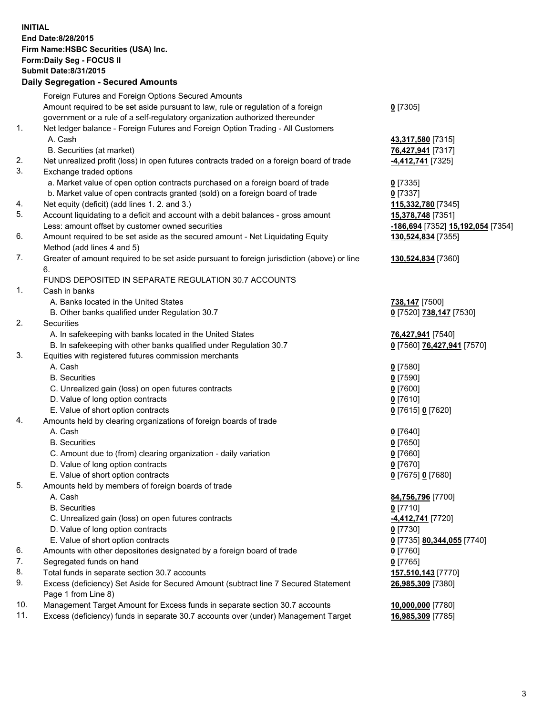**INITIAL End Date:8/28/2015 Firm Name:HSBC Securities (USA) Inc. Form:Daily Seg - FOCUS II Submit Date:8/31/2015 Daily Segregation - Secured Amounts** Foreign Futures and Foreign Options Secured Amounts Amount required to be set aside pursuant to law, rule or regulation of a foreign government or a rule of a self-regulatory organization authorized thereunder 1. Net ledger balance - Foreign Futures and Foreign Option Trading - All Customers A. Cash **43,317,580** [7315] B. Securities (at market) **76,427,941** [7317] 2. Net unrealized profit (loss) in open futures contracts traded on a foreign board of trade **-4,412,741** [7325] 3. Exchange traded options a. Market value of open option contracts purchased on a foreign board of trade **0** [7335] b. Market value of open contracts granted (sold) on a foreign board of trade **0** [7337] 4. Net equity (deficit) (add lines 1. 2. and 3.) **115,332,780** [7345] 5. Account liquidating to a deficit and account with a debit balances - gross amount **15,378,748** [7351]

- 6. Amount required to be set aside as the secured amount Net Liquidating Equity Method (add lines 4 and 5)
- 7. Greater of amount required to be set aside pursuant to foreign jurisdiction (above) or line 6.

## FUNDS DEPOSITED IN SEPARATE REGULATION 30.7 ACCOUNTS

1. Cash in banks

- A. Banks located in the United States **738,147** [7500]
- B. Other banks qualified under Regulation 30.7 **0** [7520] **738,147** [7530]
- 2. Securities
	- A. In safekeeping with banks located in the United States **76,427,941** [7540]
	- B. In safekeeping with other banks qualified under Regulation 30.7 **0** [7560] **76,427,941** [7570]
- 3. Equities with registered futures commission merchants
	- A. Cash **0** [7580]
		-
	- C. Unrealized gain (loss) on open futures contracts **0** [7600]
	- D. Value of long option contracts **0** [7610]
	- E. Value of short option contracts **0** [7615] **0** [7620]
- 4. Amounts held by clearing organizations of foreign boards of trade
	-
	- B. Securities **0** [7650]
	- C. Amount due to (from) clearing organization daily variation **0** [7660]
	- D. Value of long option contracts **0** [7670]
	- E. Value of short option contracts **0** [7675] **0** [7680]
- 5. Amounts held by members of foreign boards of trade
	-
	-
	- C. Unrealized gain (loss) on open futures contracts **-4,412,741** [7720]
	- D. Value of long option contracts **0** [7730]
	- E. Value of short option contracts **0** [7735] **80,344,055** [7740]
- 6. Amounts with other depositories designated by a foreign board of trade **0** [7760]
- 7. Segregated funds on hand **0** [7765]
- 8. Total funds in separate section 30.7 accounts **157,510,143** [7770]
- 9. Excess (deficiency) Set Aside for Secured Amount (subtract line 7 Secured Statement Page 1 from Line 8)
- 10. Management Target Amount for Excess funds in separate section 30.7 accounts **10,000,000** [7780]
- 11. Excess (deficiency) funds in separate 30.7 accounts over (under) Management Target **16,985,309** [7785]

**0** [7305]

Less: amount offset by customer owned securities **-186,694** [7352] **15,192,054** [7354] **130,524,834** [7355]

**130,524,834** [7360]

 B. Securities **0** [7590] A. Cash **0** [7640]

 A. Cash **84,756,796** [7700] B. Securities **0** [7710] **26,985,309** [7380]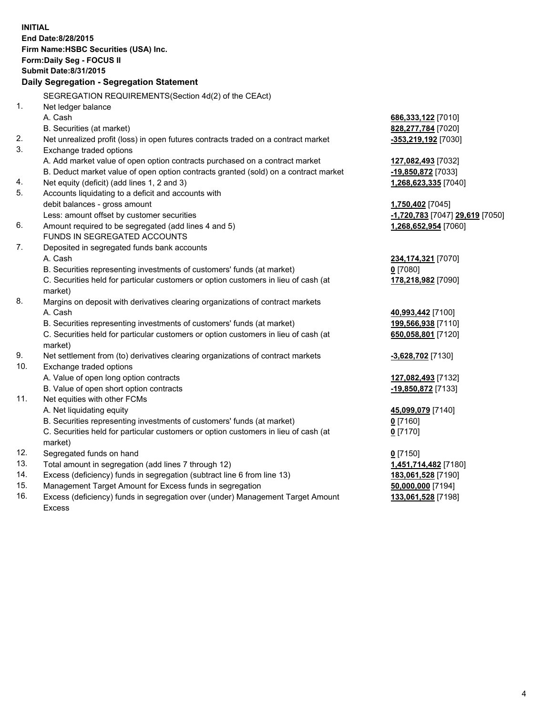**INITIAL End Date:8/28/2015 Firm Name:HSBC Securities (USA) Inc. Form:Daily Seg - FOCUS II Submit Date:8/31/2015 Daily Segregation - Segregation Statement** SEGREGATION REQUIREMENTS(Section 4d(2) of the CEAct) 1. Net ledger balance A. Cash **686,333,122** [7010] B. Securities (at market) **828,277,784** [7020] 2. Net unrealized profit (loss) in open futures contracts traded on a contract market **-353,219,192** [7030] 3. Exchange traded options A. Add market value of open option contracts purchased on a contract market **127,082,493** [7032] B. Deduct market value of open option contracts granted (sold) on a contract market **-19,850,872** [7033] 4. Net equity (deficit) (add lines 1, 2 and 3) **1,268,623,335** [7040] 5. Accounts liquidating to a deficit and accounts with debit balances - gross amount **1,750,402** [7045] Less: amount offset by customer securities **-1,720,783** [7047] **29,619** [7050] 6. Amount required to be segregated (add lines 4 and 5) **1,268,652,954** [7060] FUNDS IN SEGREGATED ACCOUNTS 7. Deposited in segregated funds bank accounts A. Cash **234,174,321** [7070] B. Securities representing investments of customers' funds (at market) **0** [7080] C. Securities held for particular customers or option customers in lieu of cash (at market) **178,218,982** [7090] 8. Margins on deposit with derivatives clearing organizations of contract markets A. Cash **40,993,442** [7100] B. Securities representing investments of customers' funds (at market) **199,566,938** [7110] C. Securities held for particular customers or option customers in lieu of cash (at market) **650,058,801** [7120] 9. Net settlement from (to) derivatives clearing organizations of contract markets **-3,628,702** [7130] 10. Exchange traded options A. Value of open long option contracts **127,082,493** [7132] B. Value of open short option contracts **-19,850,872** [7133] 11. Net equities with other FCMs A. Net liquidating equity **45,099,079** [7140] B. Securities representing investments of customers' funds (at market) **0** [7160] C. Securities held for particular customers or option customers in lieu of cash (at market) **0** [7170] 12. Segregated funds on hand **0** [7150] 13. Total amount in segregation (add lines 7 through 12) **1,451,714,482** [7180] 14. Excess (deficiency) funds in segregation (subtract line 6 from line 13) **183,061,528** [7190] 15. Management Target Amount for Excess funds in segregation **50,000,000** [7194]

16. Excess (deficiency) funds in segregation over (under) Management Target Amount Excess

**133,061,528** [7198]